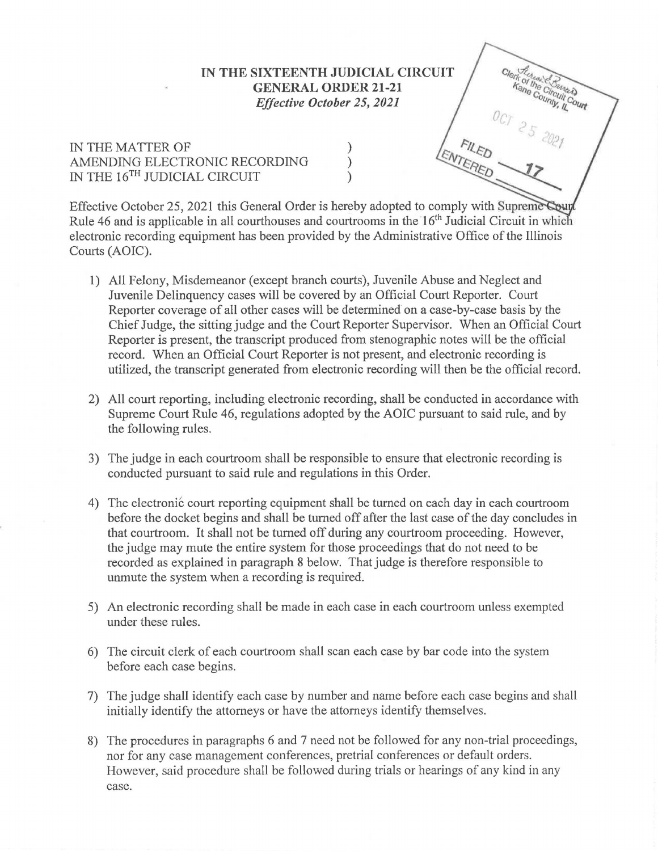## **IN THE SIXTEENTH JUDICIAL CIRCUIT GENERAL ORDER 21-21**  *Effective October 25, 2021*

Clerk of the Chancers

## IN THE MATTER OF  $\left\{\n\begin{array}{ccc}\n\text{AMENDING ELECTRONIC RECORDING} \\
\text{IN THE 16}^{\text{TH}} & \text{IIDICIAL CIRCUIT}\n\end{array}\n\right\}$ AMENDING ELECTRONIC RECORDING IN THE  $16^\mathrm{TH}$  JUDICIAL CIRCUIT

Effective October 25, 2021 this General Order is hereby adopted to comply with Suprem Rule 46 and is applicable in all courthouses and courtrooms in the  $16<sup>th</sup>$  Judicial Circuit in which electronic recording equipment has been provided by the Administrative Office of the Illinois Courts (AOIC).

- 1) All Felony, Misdemeanor (except branch courts), Juvenile Abuse and Neglect and Juvenile Delinquency cases will be covered by an Official Court Reporter. Court Reporter coverage of all other cases will be determined on a case-by-case basis by the Chief Judge, the sitting judge and the Court Reporter Supervisor. When an Official Court Reporter is present, the transcript produced from stenographic notes will be the official record. When an Official Court Reporter is not present, and electronic recording is utilized, the transcript generated from electronic recording will then be the official record.
- 2) All court reporting, including electronic recording, shall be conducted in accordance with Supreme Court Rule 46, regulations adopted by the AOIC pursuant to said rule, and by the following rules.
- 3) The judge in each courtroom shall be responsible to ensure that electronic recording is conducted pursuant to said rule and regulations in this Order.
- 4) The electronic court reporting equipment shall be turned on each day in each courtroom before the docket begins and shall be turned off after the last case of the day concludes in that courtroom. It shall not be turned off during any courtroom proceeding. However, the judge may mute the entire system for those proceedings that do not need to be recorded as explained in paragraph 8 below. That judge is therefore responsible to unmute the system when a recording is required.
- 5) An electronic recording shall be made in each case in each courtroom unless exempted under these rules.
- 6) The circuit clerk of each courtroom shall scan each case by bar code into the system before each case begins.
- 7) The judge shall identify each case by number and name before each case begins and shall initially identify the attorneys or have the attorneys identify themselves.
- 8) The procedures in paragraphs 6 and 7 need not be followed for any non-trial proceedings, nor for any case management conferences, pretrial conferences or default orders. However, said procedure shall be followed during trials or hearings of any kind in any case.